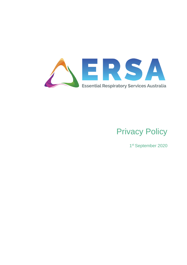

# Privacy Policy

1st September 2020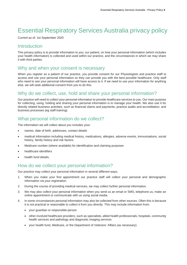# Essential Respiratory Services Australia privacy policy

Current as of: 1st September 2020

#### Introduction

This privacy policy is to provide information to you, our patient, on how your personal information (which includes your health information) is collected and used within our practice, and the circumstances in which we may share it with third parties.

#### Why and when your consent is necessary

When you register as a patient of our practice, you provide consent for our Physiologists and practice staff to access and use your personal information so they can provide you with the best possible healthcare. Only staff who need to see your personal information will have access to it. If we need to use your information for anything else, we will seek additional consent from you to do this.

# Why do we collect, use, hold and share your personal information?

Our practice will need to collect your personal information to provide healthcare services to you. Our main purpose for collecting, using, holding and sharing your personal information is to manage your health. We also use it for directly related business activities, such as financial claims and payments, practice audits and accreditation, and business processes (eg staff training).

# What personal information do we collect?

The information we will collect about you includes your:

- names, date of birth, addresses, contact details
- medical information including medical history, medications, allergies, adverse events, immunisations, social history, family history and risk factors
- Medicare number (where available) for identification and claiming purposes
- healthcare identifiers
- health fund details.

# How do we collect your personal information?

Our practice may collect your personal information in several different ways.

- 1. When you make your first appointment our practice staff will collect your personal and demographic information via your registration.
- 2. During the course of providing medical services, we may collect further personal information.
- 3. We may also collect your personal information when you send us an email or SMS, telephone us, make an online appointment or communicate with us using social media.
- 4. In some circumstances personal information may also be collected from other sources. Often this is because it is not practical or reasonable to collect it from you directly. This may include information from:
	- your guardian or responsible person
	- other involved healthcare providers, such as specialists, allied health professionals, hospitals, community health services and pathology and diagnostic imaging services
	- your health fund, Medicare, or the Department of Veterans' Affairs (as necessary).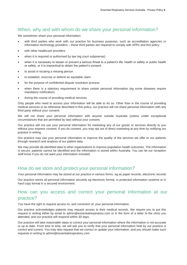#### When, why and with whom do we share your personal information?

We sometimes share your personal information:

- with third parties who work with our practice for business purposes, such as accreditation agencies or information technology providers – these third parties are required to comply with APPs and this policy
- with other healthcare providers
- when it is required or authorised by law (eg court subpoenas)
- when it is necessary to lessen or prevent a serious threat to a patient's life, health or safety or public health or safety, or it is impractical to obtain the patient's consent
- to assist in locating a missing person
- to establish, exercise or defend an equitable claim
- for the purpose of confidential dispute resolution process
- when there is a statutory requirement to share certain personal information (eg some diseases require mandatory notification)
- during the course of providing medical services

Only people who need to access your information will be able to do so. Other than in the course of providing medical services or as otherwise described in this policy, our practice will not share personal information with any third party without your consent.

We will not share your personal information with anyone outside Australia (unless under exceptional circumstances that are permitted by law) without your consent.

Our practice will not use your personal information for marketing any of our goods or services directly to you without your express consent. If you do consent, you may opt out of direct marketing at any time by notifying our practice in writing.

Our practice may use your personal information to improve the quality of the services we offer to our patients through research and analysis of our patient data.

We may provide de-identified data to other organisations to improve population health outcomes. The information is secure, patients cannot be identified and the information is stored within Australia. You can let our reception staff know if you do not want your information included.

#### How do we store and protect your personal information?

Your personal information may be stored at our practice in various forms. eg as paper records, electronic records

Our practice stores all personal information securely eg electronic format, in protected information systems or in hard copy format in a secured environment.

# How can you access and correct your personal information at our practice?

You have the right to request access to, and correction of, your personal information.

Our practice acknowledges patients may request access to their medical records. We require you to put this request in writing either by email to [admin@essentialrespiratory.com](mailto:admin@essentialrespiratory.com) or in the form of a letter to the clinic you attended, and our practice will respond within 30 days.

Our practice will take reasonable steps to correct your personal information where the information is not accurate or up to date. From time to time, we will ask you to verify that your personal information held by our practice is correct and current. You may also request that we correct or update your information, and you should make such requests in writing to admin@essentialrespiratory.com